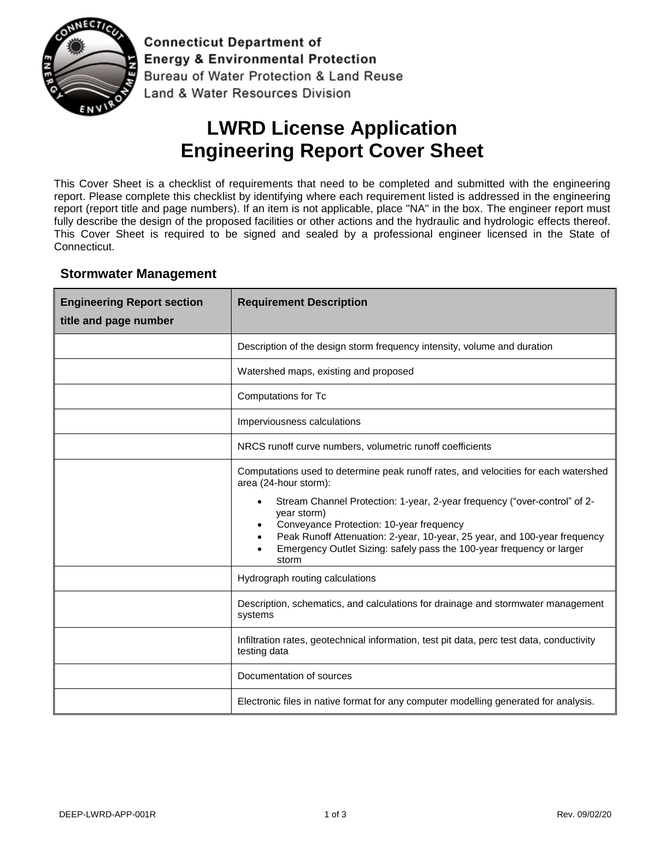

**Connecticut Department of Energy & Environmental Protection** Bureau of Water Protection & Land Reuse Land & Water Resources Division

# **LWRD License Application Engineering Report Cover Sheet**

This Cover Sheet is a checklist of requirements that need to be completed and submitted with the engineering report. Please complete this checklist by identifying where each requirement listed is addressed in the engineering report (report title and page numbers). If an item is not applicable, place "NA" in the box. The engineer report must fully describe the design of the proposed facilities or other actions and the hydraulic and hydrologic effects thereof. This Cover Sheet is required to be signed and sealed by a professional engineer licensed in the State of Connecticut.

### **Stormwater Management**

| <b>Engineering Report section</b><br>title and page number | <b>Requirement Description</b>                                                                                                                                                                                                                                                                                                                                                                                                   |
|------------------------------------------------------------|----------------------------------------------------------------------------------------------------------------------------------------------------------------------------------------------------------------------------------------------------------------------------------------------------------------------------------------------------------------------------------------------------------------------------------|
|                                                            | Description of the design storm frequency intensity, volume and duration                                                                                                                                                                                                                                                                                                                                                         |
|                                                            | Watershed maps, existing and proposed                                                                                                                                                                                                                                                                                                                                                                                            |
|                                                            | Computations for Tc                                                                                                                                                                                                                                                                                                                                                                                                              |
|                                                            | Imperviousness calculations                                                                                                                                                                                                                                                                                                                                                                                                      |
|                                                            | NRCS runoff curve numbers, volumetric runoff coefficients                                                                                                                                                                                                                                                                                                                                                                        |
|                                                            | Computations used to determine peak runoff rates, and velocities for each watershed<br>area (24-hour storm):<br>Stream Channel Protection: 1-year, 2-year frequency ("over-control" of 2-<br>year storm)<br>Conveyance Protection: 10-year frequency<br>$\bullet$<br>Peak Runoff Attenuation: 2-year, 10-year, 25 year, and 100-year frequency<br>Emergency Outlet Sizing: safely pass the 100-year frequency or larger<br>storm |
|                                                            | Hydrograph routing calculations                                                                                                                                                                                                                                                                                                                                                                                                  |
|                                                            | Description, schematics, and calculations for drainage and stormwater management<br>systems                                                                                                                                                                                                                                                                                                                                      |
|                                                            | Infiltration rates, geotechnical information, test pit data, perc test data, conductivity<br>testing data                                                                                                                                                                                                                                                                                                                        |
|                                                            | Documentation of sources                                                                                                                                                                                                                                                                                                                                                                                                         |
|                                                            | Electronic files in native format for any computer modelling generated for analysis.                                                                                                                                                                                                                                                                                                                                             |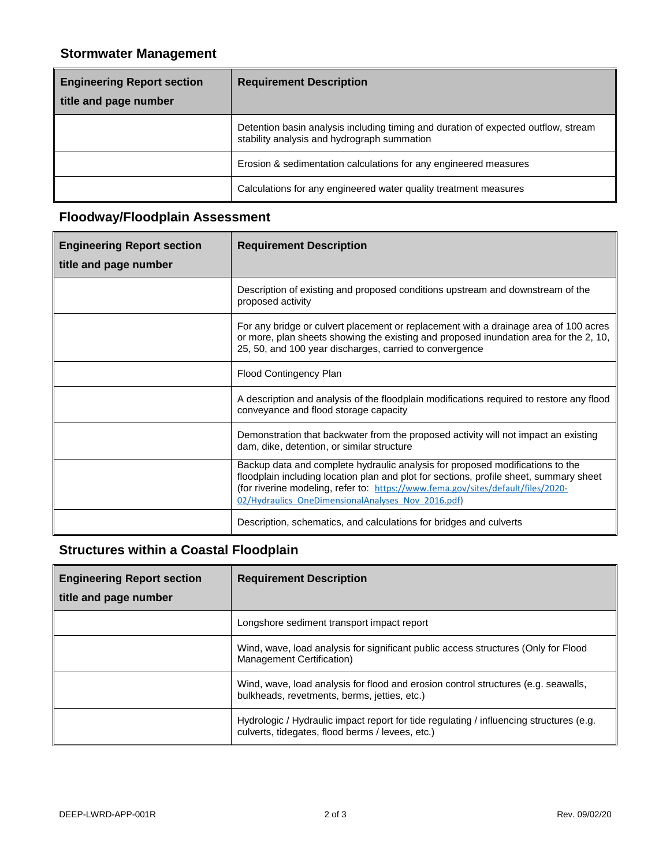### **Stormwater Management**

| <b>Engineering Report section</b><br>title and page number | <b>Requirement Description</b>                                                                                                    |
|------------------------------------------------------------|-----------------------------------------------------------------------------------------------------------------------------------|
|                                                            | Detention basin analysis including timing and duration of expected outflow, stream<br>stability analysis and hydrograph summation |
|                                                            | Erosion & sedimentation calculations for any engineered measures                                                                  |
|                                                            | Calculations for any engineered water quality treatment measures                                                                  |

### **Floodway/Floodplain Assessment**

| <b>Engineering Report section</b><br>title and page number | <b>Requirement Description</b>                                                                                                                                                                                                                                                                                    |
|------------------------------------------------------------|-------------------------------------------------------------------------------------------------------------------------------------------------------------------------------------------------------------------------------------------------------------------------------------------------------------------|
|                                                            | Description of existing and proposed conditions upstream and downstream of the<br>proposed activity                                                                                                                                                                                                               |
|                                                            | For any bridge or culvert placement or replacement with a drainage area of 100 acres<br>or more, plan sheets showing the existing and proposed inundation area for the 2, 10,<br>25, 50, and 100 year discharges, carried to convergence                                                                          |
|                                                            | Flood Contingency Plan                                                                                                                                                                                                                                                                                            |
|                                                            | A description and analysis of the floodplain modifications required to restore any flood<br>conveyance and flood storage capacity                                                                                                                                                                                 |
|                                                            | Demonstration that backwater from the proposed activity will not impact an existing<br>dam, dike, detention, or similar structure                                                                                                                                                                                 |
|                                                            | Backup data and complete hydraulic analysis for proposed modifications to the<br>floodplain including location plan and plot for sections, profile sheet, summary sheet<br>(for riverine modeling, refer to: https://www.fema.gov/sites/default/files/2020-<br>02/Hydraulics OneDimensionalAnalyses Nov 2016.pdf) |
|                                                            | Description, schematics, and calculations for bridges and culverts                                                                                                                                                                                                                                                |

## **Structures within a Coastal Floodplain**

| <b>Engineering Report section</b><br>title and page number | <b>Requirement Description</b>                                                                                                              |
|------------------------------------------------------------|---------------------------------------------------------------------------------------------------------------------------------------------|
|                                                            | Longshore sediment transport impact report                                                                                                  |
|                                                            | Wind, wave, load analysis for significant public access structures (Only for Flood<br>Management Certification)                             |
|                                                            | Wind, wave, load analysis for flood and erosion control structures (e.g. seawalls,<br>bulkheads, revetments, berms, jetties, etc.)          |
|                                                            | Hydrologic / Hydraulic impact report for tide regulating / influencing structures (e.g.<br>culverts, tidegates, flood berms / levees, etc.) |